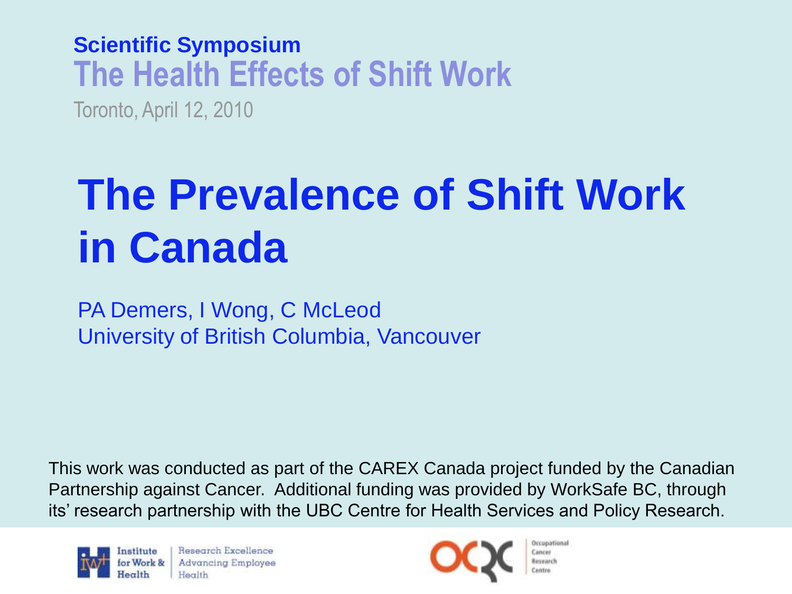#### **Scientific Symposium The Health Effects of Shift Work**

Toronto, April 12, 2010

## **The Prevalence of Shift Work in Canada**

PA Demers, I Wong, C McLeod University of British Columbia, Vancouver

This work was conducted as part of the CAREX Canada project funded by the Canadian Partnership against Cancer. Additional funding was provided by WorkSafe BC, through its' research partnership with the UBC Centre for Health Services and Policy Research.



Research Excellence **Advancing Employee** Health



Occupational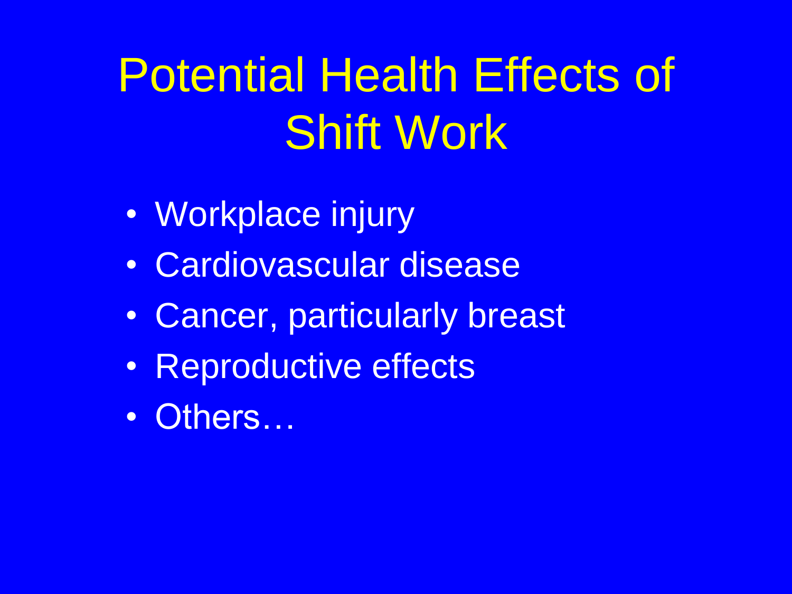# Potential Health Effects of Shift Work

- Workplace injury
- Cardiovascular disease
- Cancer, particularly breast
- Reproductive effects
- Others...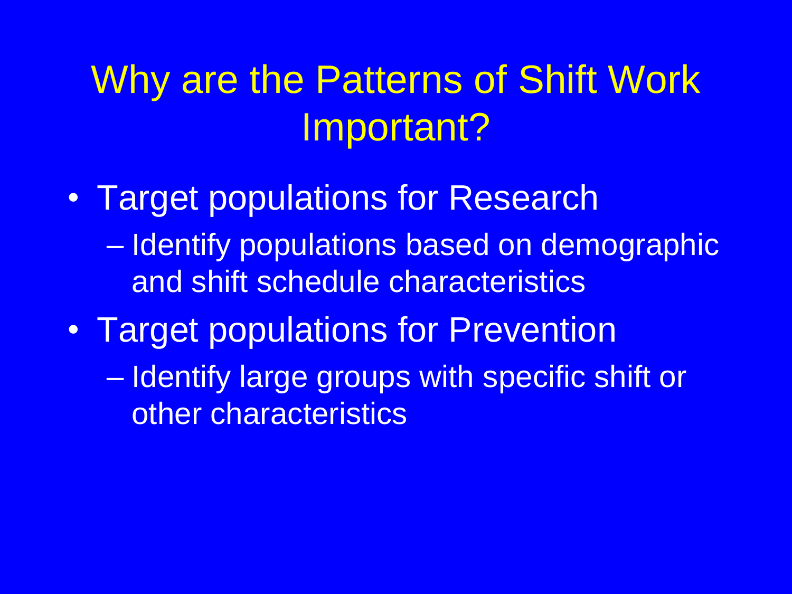## Why are the Patterns of Shift Work Important?

- Target populations for Research
	- Identify populations based on demographic and shift schedule characteristics
- Target populations for Prevention
	- Identify large groups with specific shift or other characteristics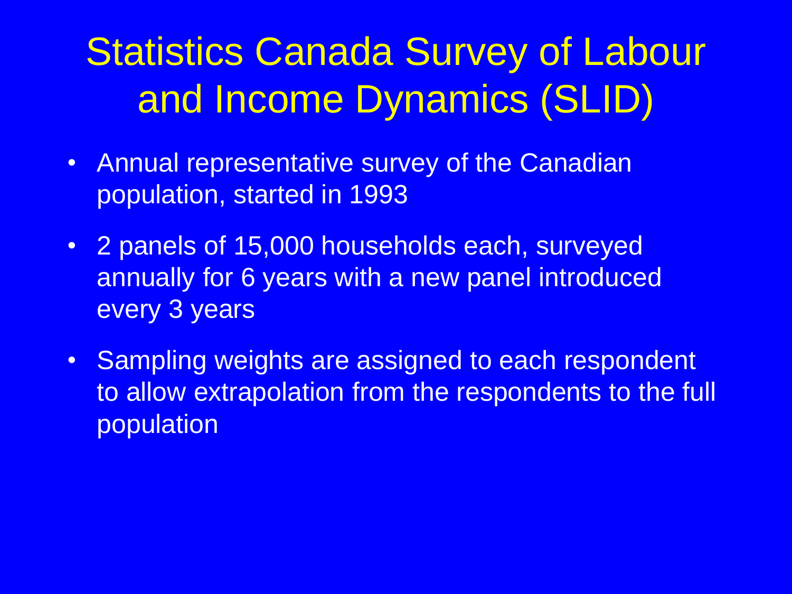## Statistics Canada Survey of Labour and Income Dynamics (SLID)

- Annual representative survey of the Canadian population, started in 1993
- 2 panels of 15,000 households each, surveyed annually for 6 years with a new panel introduced every 3 years
- Sampling weights are assigned to each respondent to allow extrapolation from the respondents to the full population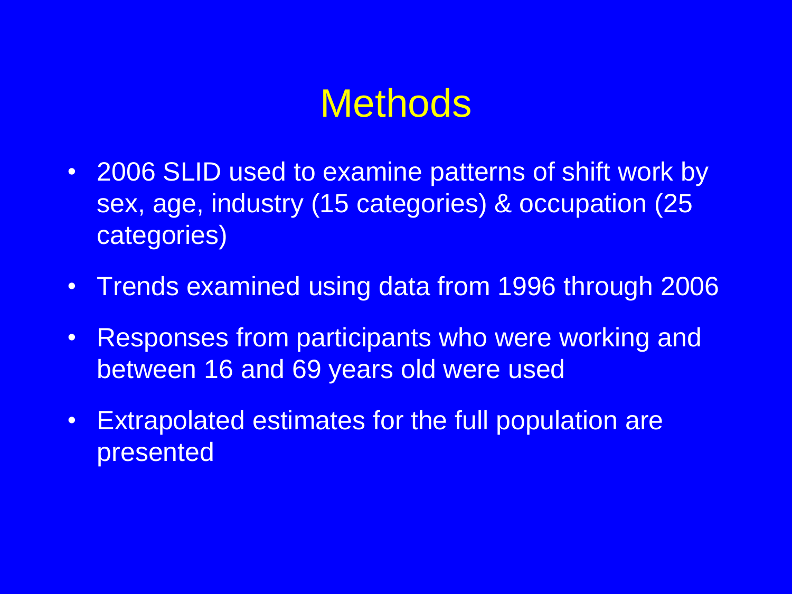#### **Methods**

- 2006 SLID used to examine patterns of shift work by sex, age, industry (15 categories) & occupation (25 categories)
- Trends examined using data from 1996 through 2006
- Responses from participants who were working and between 16 and 69 years old were used
- Extrapolated estimates for the full population are presented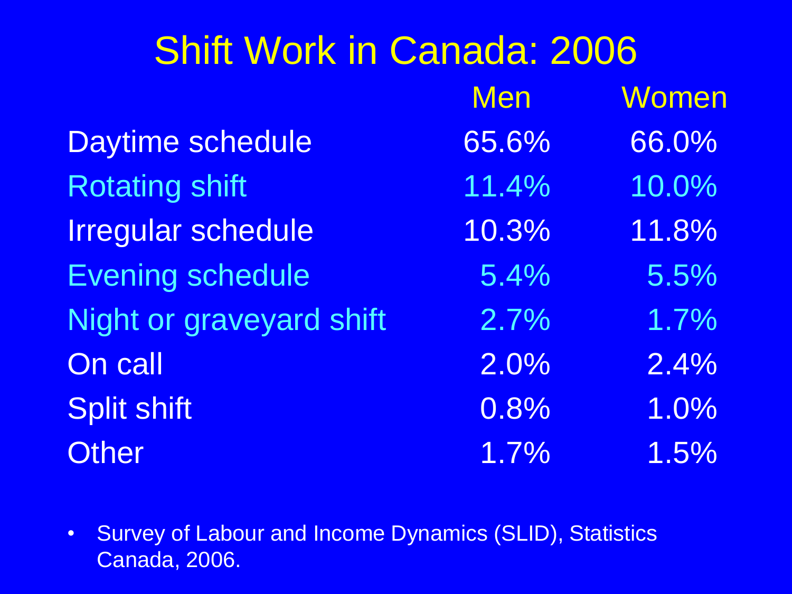### Shift Work in Canada: 2006

|                           | <b>Men</b> | Women |
|---------------------------|------------|-------|
| Daytime schedule          | 65.6%      | 66.0% |
| <b>Rotating shift</b>     | 11.4%      | 10.0% |
| <b>Irregular schedule</b> | 10.3%      | 11.8% |
| <b>Evening schedule</b>   | 5.4%       | 5.5%  |
| Night or graveyard shift  | 2.7%       | 1.7%  |
| On call                   | 2.0%       | 2.4%  |
| <b>Split shift</b>        | 0.8%       | 1.0%  |
| <b>Other</b>              | 1.7%       | 1.5%  |

• Survey of Labour and Income Dynamics (SLID), Statistics Canada, 2006.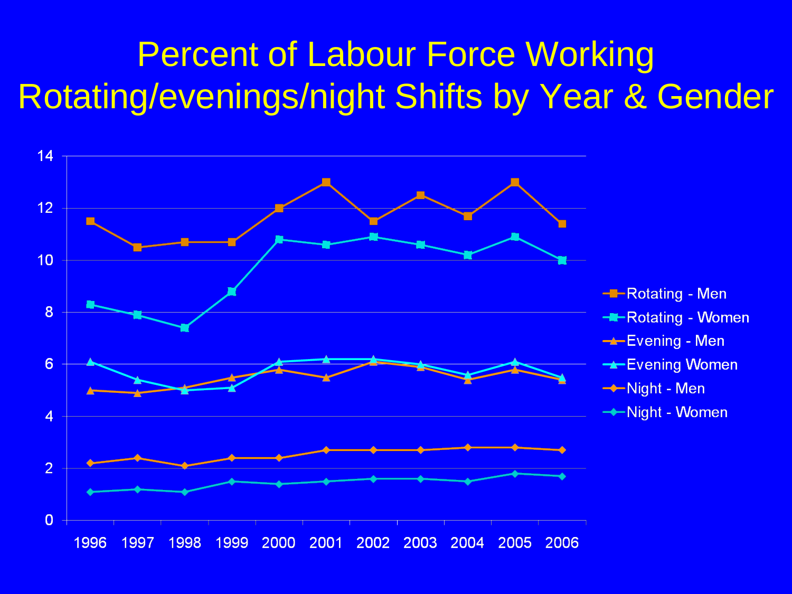#### Percent of Labour Force Working Rotating/evenings/night Shifts by Year & Gender

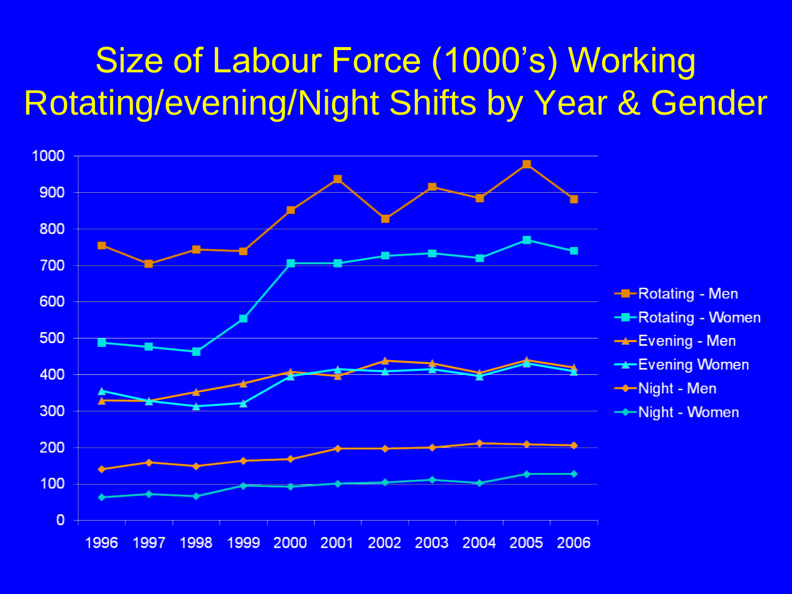#### Size of Labour Force (1000's) Working Rotating/evening/Night Shifts by Year & Gender

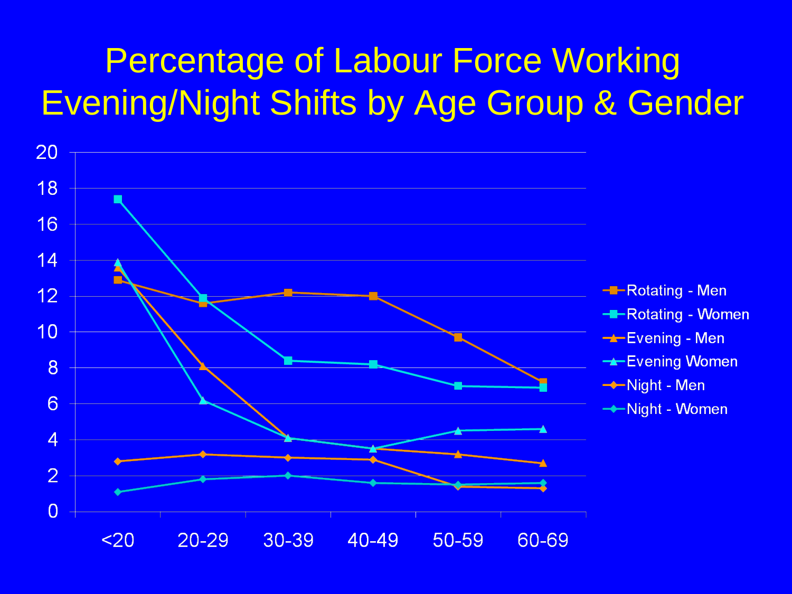#### Percentage of Labour Force Working Evening/Night Shifts by Age Group & Gender

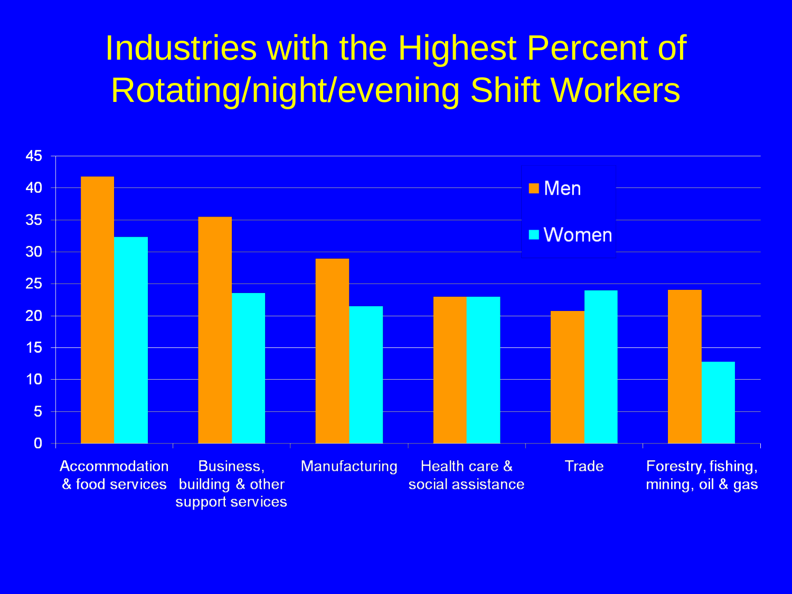#### Industries with the Highest Percent of Rotating/night/evening Shift Workers

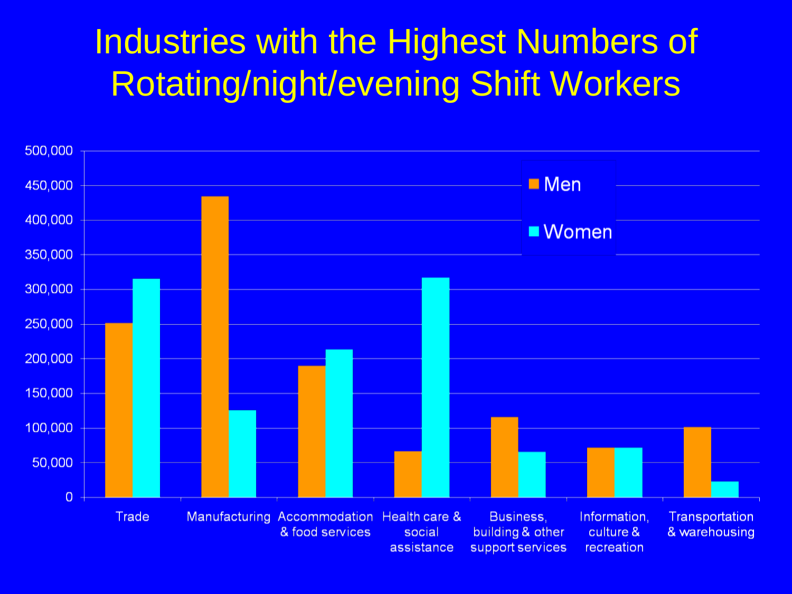#### Industries with the Highest Numbers of Rotating/night/evening Shift Workers

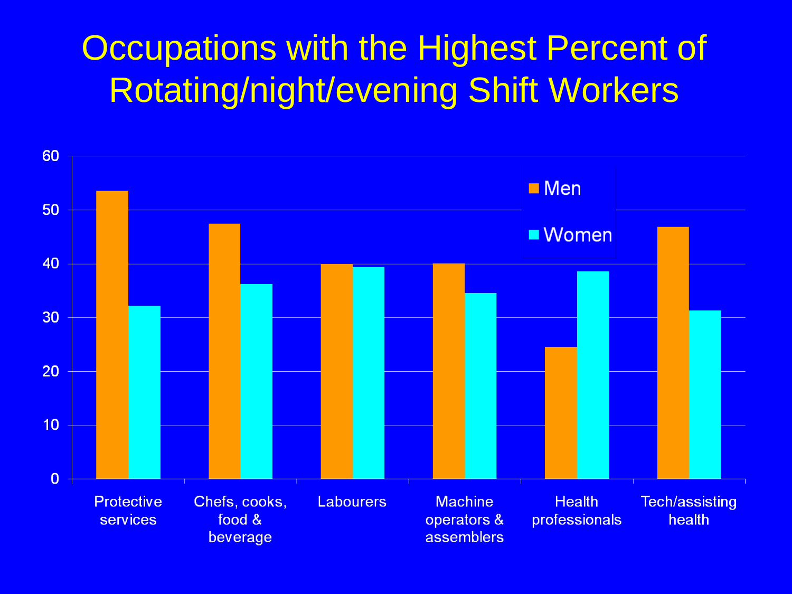#### Occupations with the Highest Percent of Rotating/night/evening Shift Workers

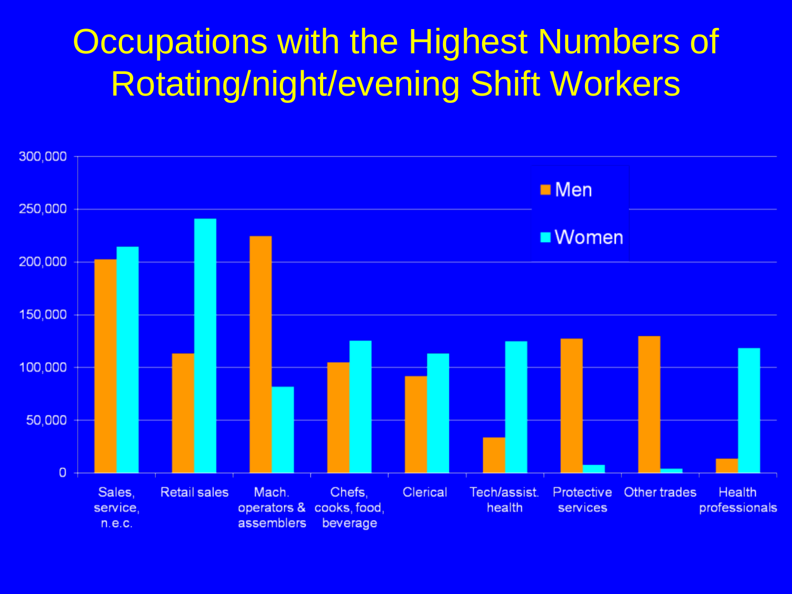#### **Occupations with the Highest Numbers of** Rotating/night/evening Shift Workers

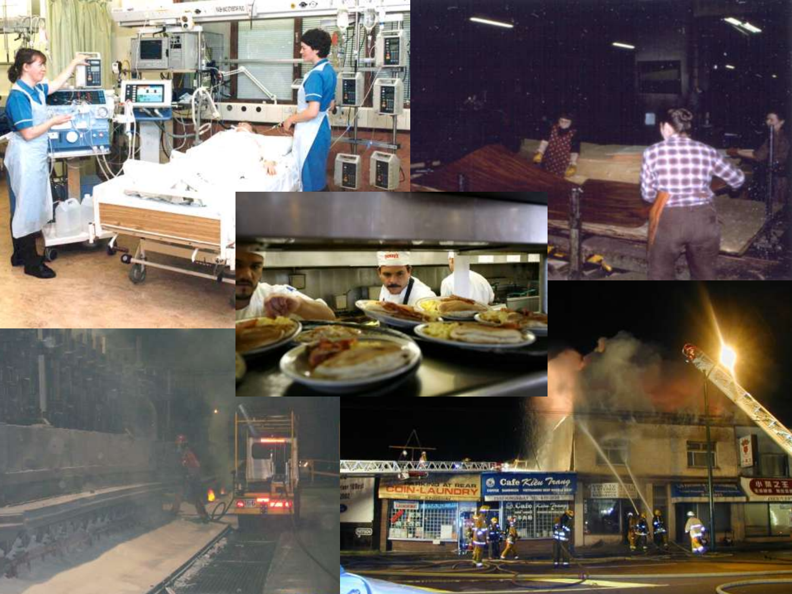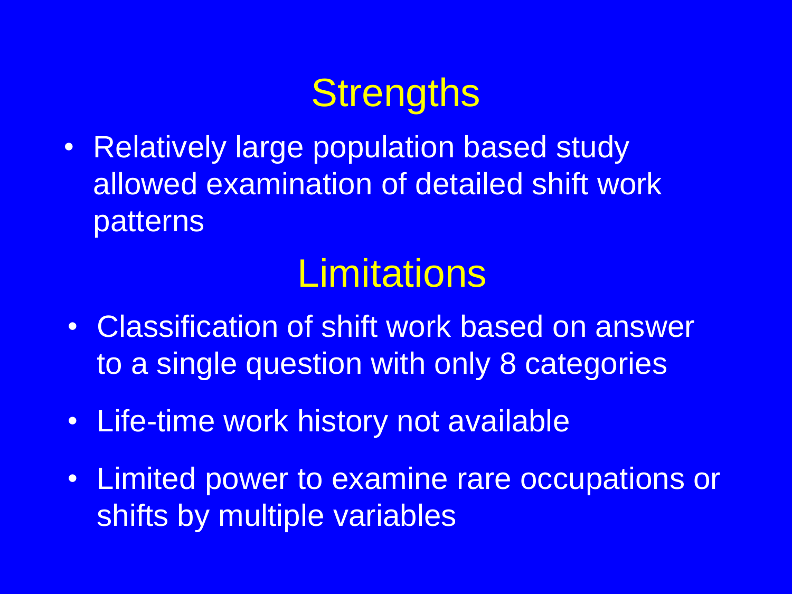## **Strengths**

• Relatively large population based study allowed examination of detailed shift work patterns

## **Limitations**

- Classification of shift work based on answer to a single question with only 8 categories
- Life-time work history not available
- Limited power to examine rare occupations or shifts by multiple variables